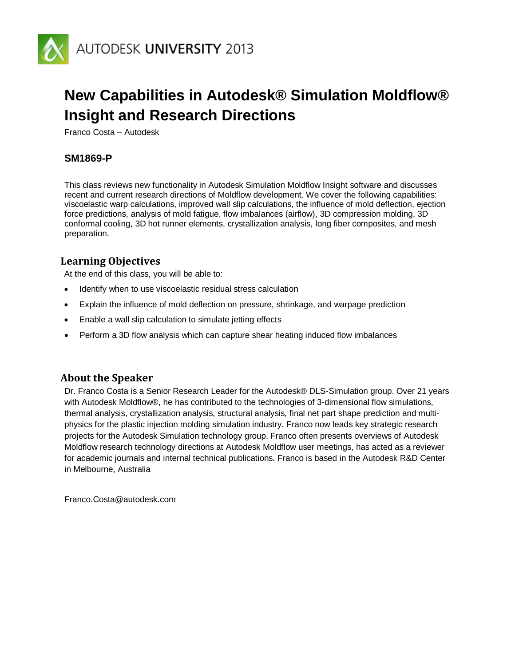

# **New Capabilities in Autodesk® Simulation Moldflow® Insight and Research Directions**

Franco Costa – Autodesk

# **SM1869-P**

This class reviews new functionality in Autodesk Simulation Moldflow Insight software and discusses recent and current research directions of Moldflow development. We cover the following capabilities: viscoelastic warp calculations, improved wall slip calculations, the influence of mold deflection, ejection force predictions, analysis of mold fatigue, flow imbalances (airflow), 3D compression molding, 3D conformal cooling, 3D hot runner elements, crystallization analysis, long fiber composites, and mesh preparation.

# **Learning Objectives**

At the end of this class, you will be able to:

- Identify when to use viscoelastic residual stress calculation
- Explain the influence of mold deflection on pressure, shrinkage, and warpage prediction
- Enable a wall slip calculation to simulate jetting effects
- Perform a 3D flow analysis which can capture shear heating induced flow imbalances

# **About the Speaker**

Dr. Franco Costa is a Senior Research Leader for the Autodesk® DLS-Simulation group. Over 21 years with Autodesk Moldflow®, he has contributed to the technologies of 3-dimensional flow simulations, thermal analysis, crystallization analysis, structural analysis, final net part shape prediction and multiphysics for the plastic injection molding simulation industry. Franco now leads key strategic research projects for the Autodesk Simulation technology group. Franco often presents overviews of Autodesk Moldflow research technology directions at Autodesk Moldflow user meetings, has acted as a reviewer for academic journals and internal technical publications. Franco is based in the Autodesk R&D Center in Melbourne, Australia

Franco.Costa@autodesk.com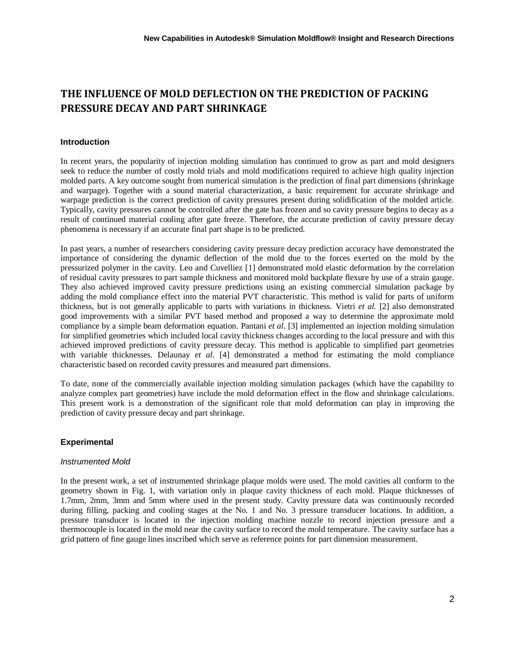# **THE INFLUENCE OF MOLD DEFLECTION ON THE PREDICTION OF PACKING PRESSURE DECAY AND PART SHRINKAGE**

# **Introduction**

In recent years, the popularity of injection molding simulation has continued to grow as part and mold designers seek to reduce the number of costly mold trials and mold modifications required to achieve high quality injection molded parts. A key outcome sought from numerical simulation is the prediction of final part dimensions (shrinkage and warpage). Together with a sound material characterization, a basic requirement for accurate shrinkage and warpage prediction is the correct prediction of cavity pressures present during solidification of the molded article. Typically, cavity pressures cannot be controlled after the gate has frozen and so cavity pressure begins to decay as a result of continued material cooling after gate freeze. Therefore, the accurate prediction of cavity pressure decay phenomena is necessary if an accurate final part shape is to be predicted.

<span id="page-1-0"></span>In past years, a number of researchers considering cavity pressure decay prediction accuracy have demonstrated the importance of considering the dynamic deflection of the mold due to the forces exerted on the mold by the pressurized polymer in the cavity. Leo and Cuvelliez [1] demonstrated mold elastic deformation by the correlation of residual cavity pressures to part sample thickness and monitored mold backplate flexure by use of a strain gauge. They also achieved improved cavity pressure predictions using an existing commercial simulation package by adding the mold compliance effect into the material PVT characteristic. This method is valid for parts of uniform thickness, but is not generally applicable to parts with variations in thickness. Vietri *et al.* [2] also demonstrated good improvements with a similar PVT based method and proposed a way to determine the approximate mold compliance by a simple beam deformation equation. Pantani *et al*. [3] implemented an injection molding simulation for simplified geometries which included local cavity thickness changes according to the local pressure and with this achieved improved predictions of cavity pressure decay. This method is applicable to simplified part geometries with variable thicknesses. Delaunay *et al*. [4] demonstrated a method for estimating the mold compliance characteristic based on recorded cavity pressures and measured part dimensions.

To date, none of the commercially available injection molding simulation packages (which have the capability to analyze complex part geometries) have include the mold deformation effect in the flow and shrinkage calculations. This present work is a demonstration of the significant role that mold deformation can play in improving the prediction of cavity pressure decay and part shrinkage.

# **Experimental**

#### *Instrumented Mold*

In the present work, a set of instrumented shrinkage plaque molds were used. The mold cavities all conform to the geometry shown in Fig. [1,](#page-2-0) with variation only in plaque cavity thickness of each mold. Plaque thicknesses of 1.7mm, 2mm, 3mm and 5mm where used in the present study. Cavity pressure data was continuously recorded during filling, packing and cooling stages at the No. 1 and No. 3 pressure transducer locations. In addition, a pressure transducer is located in the injection molding machine nozzle to record injection pressure and a thermocouple is located in the mold near the cavity surface to record the mold temperature. The cavity surface has a grid pattern of fine gauge lines inscribed which serve as reference points for part dimension measurement.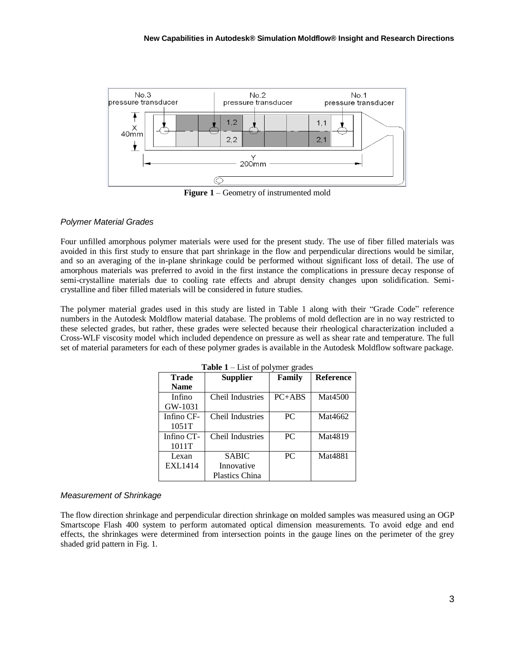

<span id="page-2-0"></span>**Figure 1** – Geometry of instrumented mold

# *Polymer Material Grades*

Four unfilled amorphous polymer materials were used for the present study. The use of fiber filled materials was avoided in this first study to ensure that part shrinkage in the flow and perpendicular directions would be similar, and so an averaging of the in-plane shrinkage could be performed without significant loss of detail. The use of amorphous materials was preferred to avoid in the first instance the complications in pressure decay response of semi-crystalline materials due to cooling rate effects and abrupt density changes upon solidification. Semicrystalline and fiber filled materials will be considered in future studies.

The polymer material grades used in this study are listed in Table [1](#page-2-1) along with their "Grade Code" reference numbers in the Autodesk Moldflow material database. The problems of mold deflection are in no way restricted to these selected grades, but rather, these grades were selected because their rheological characterization included a Cross-WLF viscosity model which included dependence on pressure as well as shear rate and temperature. The full set of material parameters for each of these polymer grades is available in the Autodesk Moldflow software package.

| <b>Supplier</b>  | Family                | Reference |
|------------------|-----------------------|-----------|
| Cheil Industries | $PC+ABS$              | Mat4500   |
| Cheil Industries | <b>PC</b>             | Mat4662   |
| Cheil Industries | <b>PC</b>             | Mat4819   |
| SABIC            | PC.                   | Mat4881   |
| Innovative       |                       |           |
|                  | <b>Plastics China</b> |           |

<span id="page-2-1"></span>

|  |  | <b>Table 1</b> – List of polymer grades |
|--|--|-----------------------------------------|
|--|--|-----------------------------------------|

# *Measurement of Shrinkage*

The flow direction shrinkage and perpendicular direction shrinkage on molded samples was measured using an OGP Smartscope Flash 400 system to perform automated optical dimension measurements. To avoid edge and end effects, the shrinkages were determined from intersection points in the gauge lines on the perimeter of the grey shaded grid pattern in Fig. [1.](#page-2-0)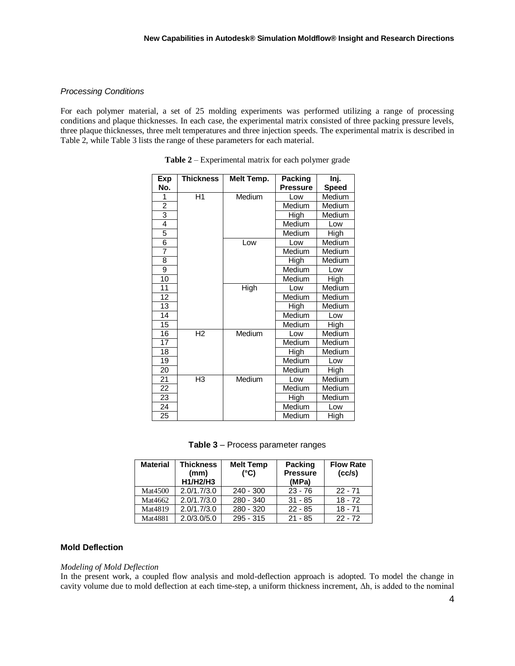# *Processing Conditions*

<span id="page-3-1"></span><span id="page-3-0"></span>For each polymer material, a set of 25 molding experiments was performed utilizing a range of processing conditions and plaque thicknesses. In each case, the experimental matrix consisted of three packing pressure levels, three plaque thicknesses, three melt temperatures and three injection speeds. The experimental matrix is described in Table 2, while Table 3 lists the range of these parameters for each material.

| <b>Exp</b>      | <b>Thickness</b> | Melt Temp. | <b>Packing</b>  | Inj.         |
|-----------------|------------------|------------|-----------------|--------------|
| No.             |                  |            | <b>Pressure</b> | <b>Speed</b> |
| 1               | H1               | Medium     | Low             | Medium       |
| $\overline{2}$  |                  |            | Medium          | Medium       |
| $\overline{3}$  |                  |            | High            | Medium       |
| $\overline{4}$  |                  |            | Medium          | Low          |
| 5               |                  |            | Medium          | High         |
| 6               |                  | Low        | Low             | Medium       |
| 7               |                  |            | Medium          | Medium       |
| 8               |                  |            | High            | Medium       |
| 9               |                  |            | Medium          | Low          |
| $\overline{10}$ |                  |            | Medium          | High         |
| 11              |                  | High       | Low             | Medium       |
| 12              |                  |            | Medium          | Medium       |
| 13              |                  |            | High            | Medium       |
| 14              |                  |            | Medium          | Low          |
| 15              |                  |            | Medium          | High         |
| 16              | H <sub>2</sub>   | Medium     | Low             | Medium       |
| 17              |                  |            | Medium          | Medium       |
| 18              |                  |            | High            | Medium       |
| 19              |                  |            | Medium          | Low          |
| 20              |                  |            | Medium          | High         |
| 21              | H <sub>3</sub>   | Medium     | Low             | Medium       |
| $\overline{22}$ |                  |            | Medium          | Medium       |
| 23              |                  |            | High            | Medium       |
| 24              |                  |            | Medium          | Low          |
| 25              |                  |            | Medium          | <b>High</b>  |

**[Table 2](#page-3-0)** – Experimental matrix for each polymer grade

**[Table 3](#page-3-1)** – Process parameter ranges

| <b>Material</b> | <b>Thickness</b><br>(mm)<br>H1/H2/H3 | <b>Melt Temp</b><br>$(^{\circ}C)$ | Packing<br><b>Pressure</b><br>(MPa) | <b>Flow Rate</b><br>(cc/s) |
|-----------------|--------------------------------------|-----------------------------------|-------------------------------------|----------------------------|
| Mat4500         | 2.0/1.7/3.0                          | $240 - 300$                       | $23 - 76$                           | $22 - 71$                  |
| Mat4662         | 2.0/1.7/3.0                          | $280 - 340$                       | $31 - 85$                           | $18 - 72$                  |
| Mat4819         | 2.0/1.7/3.0                          | $280 - 320$                       | $22 - 85$                           | $18 - 71$                  |
| Mat4881         | 2.0/3.0/5.0                          | $295 - 315$                       | $21 - 85$                           | $22 - 72$                  |

# **Mold Deflection**

#### *Modeling of Mold Deflection*

In the present work, a coupled flow analysis and mold-deflection approach is adopted. To model the change in cavity volume due to mold deflection at each time-step, a uniform thickness increment, Δh, is added to the nominal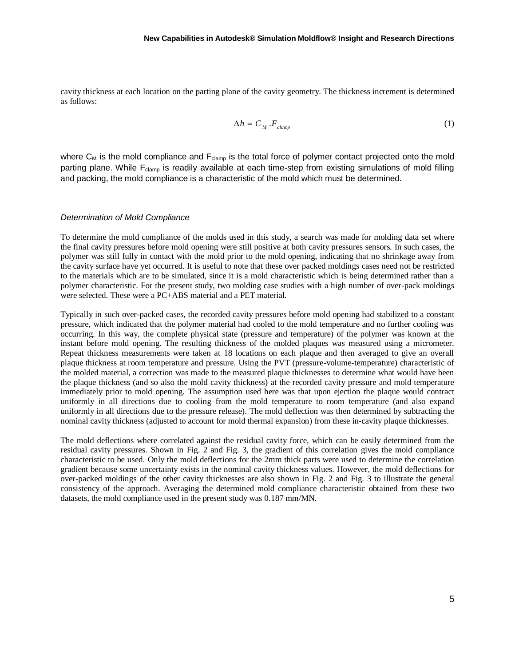cavity thickness at each location on the parting plane of the cavity geometry. The thickness increment is determined as follows:

$$
\Delta h = C_M \cdot F_{clamp} \tag{1}
$$

where  $C_M$  is the mold compliance and  $F_{\text{clamp}}$  is the total force of polymer contact projected onto the mold parting plane. While  $F_{\text{clamp}}$  is readily available at each time-step from existing simulations of mold filling and packing, the mold compliance is a characteristic of the mold which must be determined.

#### *Determination of Mold Compliance*

To determine the mold compliance of the molds used in this study, a search was made for molding data set where the final cavity pressures before mold opening were still positive at both cavity pressures sensors. In such cases, the polymer was still fully in contact with the mold prior to the mold opening, indicating that no shrinkage away from the cavity surface have yet occurred. It is useful to note that these over packed moldings cases need not be restricted to the materials which are to be simulated, since it is a mold characteristic which is being determined rather than a polymer characteristic. For the present study, two molding case studies with a high number of over-pack moldings were selected. These were a PC+ABS material and a PET material.

Typically in such over-packed cases, the recorded cavity pressures before mold opening had stabilized to a constant pressure, which indicated that the polymer material had cooled to the mold temperature and no further cooling was occurring. In this way, the complete physical state (pressure and temperature) of the polymer was known at the instant before mold opening. The resulting thickness of the molded plaques was measured using a micrometer. Repeat thickness measurements were taken at 18 locations on each plaque and then averaged to give an overall plaque thickness at room temperature and pressure. Using the PVT (pressure-volume-temperature) characteristic of the molded material, a correction was made to the measured plaque thicknesses to determine what would have been the plaque thickness (and so also the mold cavity thickness) at the recorded cavity pressure and mold temperature immediately prior to mold opening. The assumption used here was that upon ejection the plaque would contract uniformly in all directions due to cooling from the mold temperature to room temperature (and also expand uniformly in all directions due to the pressure release). The mold deflection was then determined by subtracting the nominal cavity thickness (adjusted to account for mold thermal expansion) from these in-cavity plaque thicknesses.

The mold deflections where correlated against the residual cavity force, which can be easily determined from the residual cavity pressures. Shown in Fig. [2](#page-5-0) and Fig. [3,](#page-5-1) the gradient of this correlation gives the mold compliance characteristic to be used. Only the mold deflections for the 2mm thick parts were used to determine the correlation gradient because some uncertainty exists in the nominal cavity thickness values. However, the mold deflections for over-packed moldings of the other cavity thicknesses are also shown in Fig. [2](#page-5-0) and Fig. [3](#page-5-1) to illustrate the general consistency of the approach. Averaging the determined mold compliance characteristic obtained from these two datasets, the mold compliance used in the present study was 0.187 mm/MN.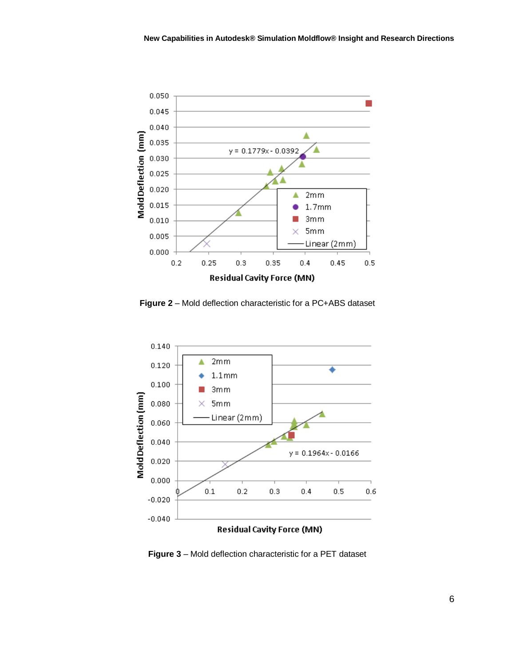

<span id="page-5-0"></span>**Figure 2** – Mold deflection characteristic for a PC+ABS dataset



<span id="page-5-1"></span>**Figure 3** – Mold deflection characteristic for a PET dataset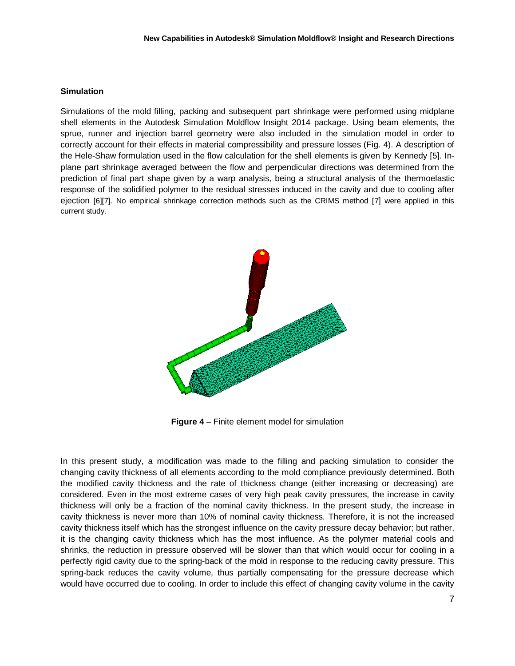## **Simulation**

Simulations of the mold filling, packing and subsequent part shrinkage were performed using midplane shell elements in the Autodesk Simulation Moldflow Insight 2014 package. Using beam elements, the sprue, runner and injection barrel geometry were also included in the simulation model in order to correctly account for their effects in material compressibility and pressure losses (Fig. [4\)](#page-6-0). A description of the Hele-Shaw formulation used in the flow calculation for the shell elements is given by Kennedy [5]. Inplane part shrinkage averaged between the flow and perpendicular directions was determined from the prediction of final part shape given by a warp analysis, being a structural analysis of the thermoelastic response of the solidified polymer to the residual stresses induced in the cavity and due to cooling after ejection [6][7]. No empirical shrinkage correction methods such as the CRIMS method [7] were applied in this current study.



**Figure 4** – Finite element model for simulation

<span id="page-6-0"></span>In this present study, a modification was made to the filling and packing simulation to consider the changing cavity thickness of all elements according to the mold compliance previously determined. Both the modified cavity thickness and the rate of thickness change (either increasing or decreasing) are considered. Even in the most extreme cases of very high peak cavity pressures, the increase in cavity thickness will only be a fraction of the nominal cavity thickness. In the present study, the increase in cavity thickness is never more than 10% of nominal cavity thickness. Therefore, it is not the increased cavity thickness itself which has the strongest influence on the cavity pressure decay behavior; but rather, it is the changing cavity thickness which has the most influence. As the polymer material cools and shrinks, the reduction in pressure observed will be slower than that which would occur for cooling in a perfectly rigid cavity due to the spring-back of the mold in response to the reducing cavity pressure. This spring-back reduces the cavity volume, thus partially compensating for the pressure decrease which would have occurred due to cooling. In order to include this effect of changing cavity volume in the cavity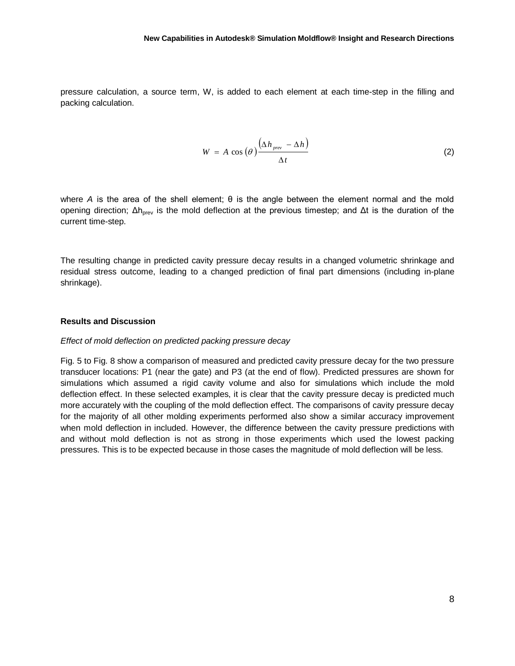pressure calculation, a source term, W, is added to each element at each time-step in the filling and packing calculation.

$$
W = A \cos \left(\theta\right) \frac{\left(\Delta h_{prev} - \Delta h\right)}{\Delta t}
$$
 (2)

where *A* is the area of the shell element; θ is the angle between the element normal and the mold opening direction;  $Δh<sub>orev</sub>$  is the mold deflection at the previous timestep; and  $Δt$  is the duration of the current time-step.

The resulting change in predicted cavity pressure decay results in a changed volumetric shrinkage and residual stress outcome, leading to a changed prediction of final part dimensions (including in-plane shrinkage).

#### **Results and Discussion**

# *Effect of mold deflection on predicted packing pressure decay*

Fig. [5](#page-8-0) to Fig. [8](#page-9-0) show a comparison of measured and predicted cavity pressure decay for the two pressure transducer locations: P1 (near the gate) and P3 (at the end of flow). Predicted pressures are shown for simulations which assumed a rigid cavity volume and also for simulations which include the mold deflection effect. In these selected examples, it is clear that the cavity pressure decay is predicted much more accurately with the coupling of the mold deflection effect. The comparisons of cavity pressure decay for the majority of all other molding experiments performed also show a similar accuracy improvement when mold deflection in included. However, the difference between the cavity pressure predictions with and without mold deflection is not as strong in those experiments which used the lowest packing pressures. This is to be expected because in those cases the magnitude of mold deflection will be less.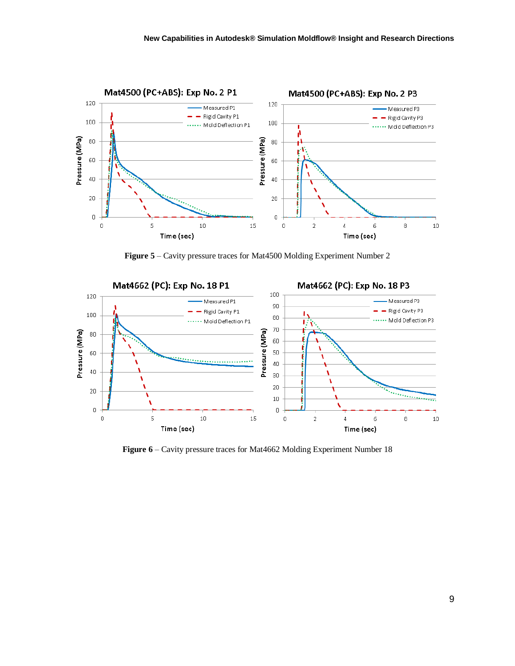

<span id="page-8-0"></span>**Figure 5** – Cavity pressure traces for Mat4500 Molding Experiment Number 2



**Figure 6** – Cavity pressure traces for Mat4662 Molding Experiment Number 18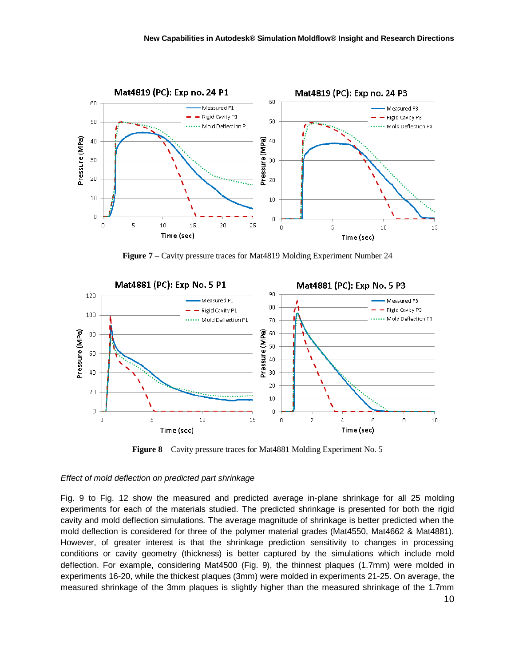

**Figure 7** – Cavity pressure traces for Mat4819 Molding Experiment Number 24



<span id="page-9-0"></span>**Figure 8** – Cavity pressure traces for Mat4881 Molding Experiment No. 5

## *Effect of mold deflection on predicted part shrinkage*

Fig. [9](#page-10-0) to Fig. [12](#page-11-0) show the measured and predicted average in-plane shrinkage for all 25 molding experiments for each of the materials studied. The predicted shrinkage is presented for both the rigid cavity and mold deflection simulations. The average magnitude of shrinkage is better predicted when the mold deflection is considered for three of the polymer material grades (Mat4550, Mat4662 & Mat4881). However, of greater interest is that the shrinkage prediction sensitivity to changes in processing conditions or cavity geometry (thickness) is better captured by the simulations which include mold deflection. For example, considering Mat4500 (Fig. [9\)](#page-10-0), the thinnest plaques (1.7mm) were molded in experiments 16-20, while the thickest plaques (3mm) were molded in experiments 21-25. On average, the measured shrinkage of the 3mm plaques is slightly higher than the measured shrinkage of the 1.7mm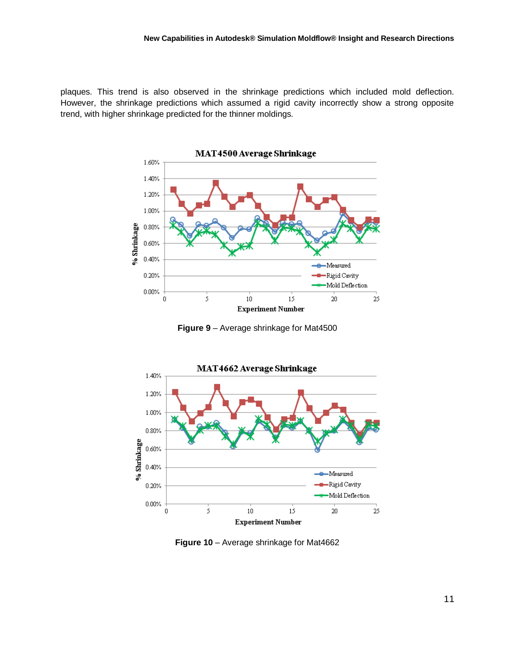plaques. This trend is also observed in the shrinkage predictions which included mold deflection. However, the shrinkage predictions which assumed a rigid cavity incorrectly show a strong opposite trend, with higher shrinkage predicted for the thinner moldings.



<span id="page-10-0"></span>**Figure 9** – Average shrinkage for Mat4500



**Figure 10** – Average shrinkage for Mat4662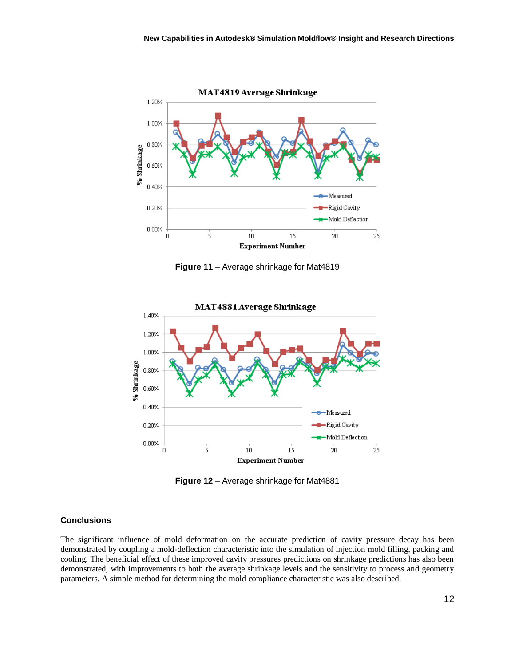

**Figure 11** – Average shrinkage for Mat4819



<span id="page-11-0"></span>**Figure 12** – Average shrinkage for Mat4881

# **Conclusions**

The significant influence of mold deformation on the accurate prediction of cavity pressure decay has been demonstrated by coupling a mold-deflection characteristic into the simulation of injection mold filling, packing and cooling. The beneficial effect of these improved cavity pressures predictions on shrinkage predictions has also been demonstrated, with improvements to both the average shrinkage levels and the sensitivity to process and geometry parameters. A simple method for determining the mold compliance characteristic was also described.